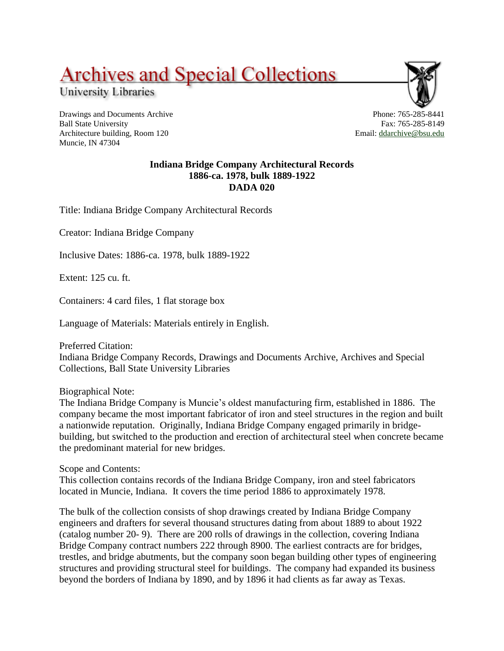## **Archives and Special Collections**

University Libraries

Drawings and Documents Archive Ball State University Architecture building, Room 120 Muncie, IN 47304

Phone: 765-285-8441 Fax: 765-285-8149 Email: [ddarchive@bsu.edu](mailto:ddarchive@bsu.edu)

## **Indiana Bridge Company Architectural Records 1886-ca. 1978, bulk 1889-1922 DADA 020**

Title: Indiana Bridge Company Architectural Records

Creator: Indiana Bridge Company

Inclusive Dates: 1886-ca. 1978, bulk 1889-1922

Extent: 125 cu. ft.

Containers: 4 card files, 1 flat storage box

Language of Materials: Materials entirely in English.

Preferred Citation: Indiana Bridge Company Records, Drawings and Documents Archive, Archives and Special Collections, Ball State University Libraries

Biographical Note:

The Indiana Bridge Company is Muncie's oldest manufacturing firm, established in 1886. The company became the most important fabricator of iron and steel structures in the region and built a nationwide reputation. Originally, Indiana Bridge Company engaged primarily in bridgebuilding, but switched to the production and erection of architectural steel when concrete became the predominant material for new bridges.

Scope and Contents:

This collection contains records of the Indiana Bridge Company, iron and steel fabricators located in Muncie, Indiana. It covers the time period 1886 to approximately 1978.

The bulk of the collection consists of shop drawings created by Indiana Bridge Company engineers and drafters for several thousand structures dating from about 1889 to about 1922 (catalog number 20- 9). There are 200 rolls of drawings in the collection, covering Indiana Bridge Company contract numbers 222 through 8900. The earliest contracts are for bridges, trestles, and bridge abutments, but the company soon began building other types of engineering structures and providing structural steel for buildings. The company had expanded its business beyond the borders of Indiana by 1890, and by 1896 it had clients as far away as Texas.

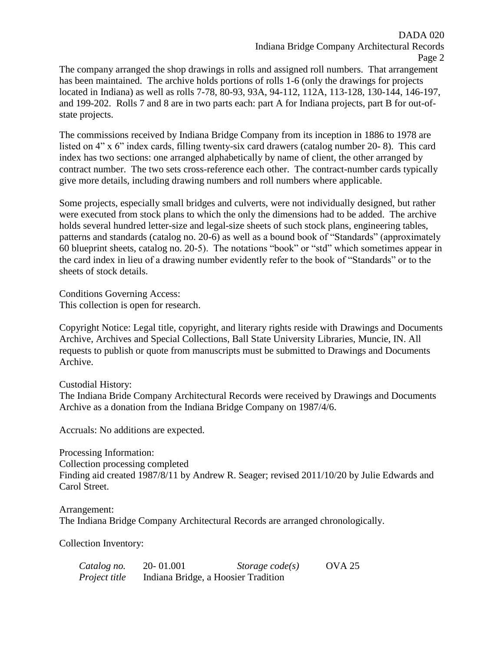The company arranged the shop drawings in rolls and assigned roll numbers. That arrangement has been maintained. The archive holds portions of rolls 1-6 (only the drawings for projects located in Indiana) as well as rolls 7-78, 80-93, 93A, 94-112, 112A, 113-128, 130-144, 146-197, and 199-202. Rolls 7 and 8 are in two parts each: part A for Indiana projects, part B for out-ofstate projects.

The commissions received by Indiana Bridge Company from its inception in 1886 to 1978 are listed on 4" x 6" index cards, filling twenty-six card drawers (catalog number 20- 8). This card index has two sections: one arranged alphabetically by name of client, the other arranged by contract number. The two sets cross-reference each other. The contract-number cards typically give more details, including drawing numbers and roll numbers where applicable.

Some projects, especially small bridges and culverts, were not individually designed, but rather were executed from stock plans to which the only the dimensions had to be added. The archive holds several hundred letter-size and legal-size sheets of such stock plans, engineering tables, patterns and standards (catalog no. 20-6) as well as a bound book of "Standards" (approximately 60 blueprint sheets, catalog no. 20-5). The notations "book" or "std" which sometimes appear in the card index in lieu of a drawing number evidently refer to the book of "Standards" or to the sheets of stock details.

Conditions Governing Access: This collection is open for research.

Copyright Notice: Legal title, copyright, and literary rights reside with Drawings and Documents Archive, Archives and Special Collections, Ball State University Libraries, Muncie, IN. All requests to publish or quote from manuscripts must be submitted to Drawings and Documents Archive.

Custodial History:

The Indiana Bride Company Architectural Records were received by Drawings and Documents Archive as a donation from the Indiana Bridge Company on 1987/4/6.

Accruals: No additions are expected.

Processing Information: Collection processing completed Finding aid created 1987/8/11 by Andrew R. Seager; revised 2011/10/20 by Julie Edwards and Carol Street.

Arrangement: The Indiana Bridge Company Architectural Records are arranged chronologically.

Collection Inventory:

| Catalog no.          | 20-01.001 | Storage $code(s)$                   | OVA 25 |
|----------------------|-----------|-------------------------------------|--------|
| <i>Project title</i> |           | Indiana Bridge, a Hoosier Tradition |        |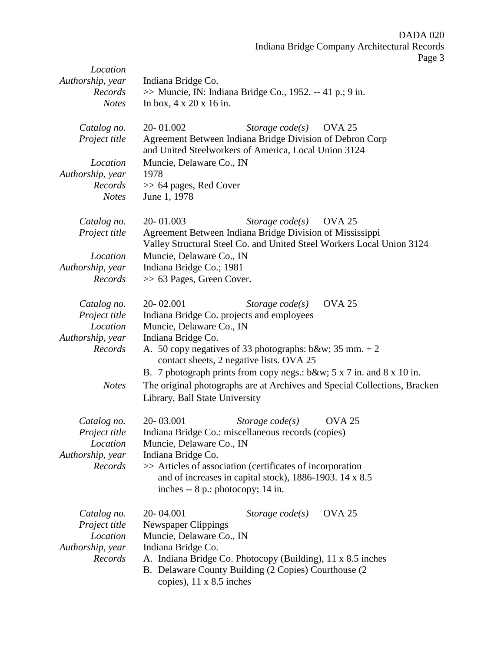| Location<br>Authorship, year<br>Records                                 | Indiana Bridge Co.<br>>> Muncie, IN: Indiana Bridge Co., 1952. -- 41 p.; 9 in.                                                                                                                        |
|-------------------------------------------------------------------------|-------------------------------------------------------------------------------------------------------------------------------------------------------------------------------------------------------|
| <b>Notes</b>                                                            | In box, $4 \times 20 \times 16$ in.                                                                                                                                                                   |
| Catalog no.<br>Project title                                            | 20-01.002<br>Storage $code(s)$<br><b>OVA 25</b><br>Agreement Between Indiana Bridge Division of Debron Corp<br>and United Steelworkers of America, Local Union 3124                                   |
| Location<br>Authorship, year<br>Records                                 | Muncie, Delaware Co., IN<br>1978<br>$\gg$ 64 pages, Red Cover                                                                                                                                         |
| <b>Notes</b>                                                            | June 1, 1978                                                                                                                                                                                          |
| Catalog no.<br>Project title                                            | 20-01.003<br>Storage $code(s)$<br><b>OVA 25</b><br>Agreement Between Indiana Bridge Division of Mississippi<br>Valley Structural Steel Co. and United Steel Workers Local Union 3124                  |
| Location<br>Authorship, year<br>Records                                 | Muncie, Delaware Co., IN<br>Indiana Bridge Co.; 1981<br>>> 63 Pages, Green Cover.                                                                                                                     |
| Catalog no.<br>Project title<br>Location                                | 20-02.001<br><b>OVA 25</b><br>Storage $code(s)$<br>Indiana Bridge Co. projects and employees<br>Muncie, Delaware Co., IN                                                                              |
| Authorship, year<br>Records                                             | Indiana Bridge Co.<br>A. 50 copy negatives of 33 photographs: b&w 35 mm. $+2$<br>contact sheets, 2 negative lists. OVA 25<br>B. 7 photograph prints from copy negs.: $b&w$ ; 5 x 7 in. and 8 x 10 in. |
| <b>Notes</b>                                                            | The original photographs are at Archives and Special Collections, Bracken<br>Library, Ball State University                                                                                           |
| Catalog no.<br>Project title<br>Location<br>Authorship, year            | 20-03.001<br><b>OVA 25</b><br>Storage $code(s)$<br>Indiana Bridge Co.: miscellaneous records (copies)<br>Muncie, Delaware Co., IN<br>Indiana Bridge Co.                                               |
| Records                                                                 | >> Articles of association (certificates of incorporation<br>and of increases in capital stock), $1886-1903$ . $14 \times 8.5$<br>inches $-8$ p.: photocopy; 14 in.                                   |
| Catalog no.<br>Project title<br>Location<br>Authorship, year<br>Records | <b>OVA 25</b><br>20-04.001<br>Storage $code(s)$<br>Newspaper Clippings<br>Muncie, Delaware Co., IN<br>Indiana Bridge Co.<br>A. Indiana Bridge Co. Photocopy (Building), 11 x 8.5 inches               |
|                                                                         | B. Delaware County Building (2 Copies) Courthouse (2<br>copies), $11 \times 8.5$ inches                                                                                                               |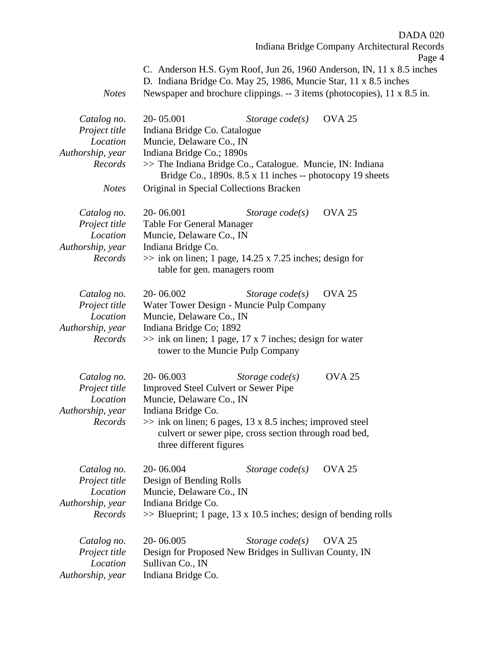|                                                                                         | <b>DADA 020</b>                                                                                                                                                                                                                                                                                               |
|-----------------------------------------------------------------------------------------|---------------------------------------------------------------------------------------------------------------------------------------------------------------------------------------------------------------------------------------------------------------------------------------------------------------|
|                                                                                         | Indiana Bridge Company Architectural Records<br>Page 4                                                                                                                                                                                                                                                        |
| <b>Notes</b>                                                                            | C. Anderson H.S. Gym Roof, Jun 26, 1960 Anderson, IN, 11 x 8.5 inches<br>D. Indiana Bridge Co. May 25, 1986, Muncie Star, 11 x 8.5 inches<br>Newspaper and brochure clippings. $-3$ items (photocopies), 11 x 8.5 in.                                                                                         |
| Catalog no.<br>Project title<br>Location<br>Authorship, year<br>Records<br><b>Notes</b> | <b>OVA 25</b><br>20-05.001<br>Storage $code(s)$<br>Indiana Bridge Co. Catalogue<br>Muncie, Delaware Co., IN<br>Indiana Bridge Co.; 1890s<br>>> The Indiana Bridge Co., Catalogue. Muncie, IN: Indiana<br>Bridge Co., 1890s. 8.5 x 11 inches -- photocopy 19 sheets<br>Original in Special Collections Bracken |
| Catalog no.<br>Project title<br>Location<br>Authorship, year<br>Records                 | 20-06.001<br><b>OVA 25</b><br>Storage $code(s)$<br><b>Table For General Manager</b><br>Muncie, Delaware Co., IN<br>Indiana Bridge Co.<br>$\gg$ ink on linen; 1 page, 14.25 x 7.25 inches; design for<br>table for gen. managers room                                                                          |
| Catalog no.<br>Project title<br>Location<br>Authorship, year<br>Records                 | 20-06.002<br>Storage $code(s)$<br><b>OVA 25</b><br>Water Tower Design - Muncie Pulp Company<br>Muncie, Delaware Co., IN<br>Indiana Bridge Co; 1892<br>$\gg$ ink on linen; 1 page, 17 x 7 inches; design for water<br>tower to the Muncie Pulp Company                                                         |
| Catalog no.<br>Project title<br>Location<br>Authorship, year<br>Records                 | 20-06.003<br><b>OVA 25</b><br>Storage $code(s)$<br><b>Improved Steel Culvert or Sewer Pipe</b><br>Muncie, Delaware Co., IN<br>Indiana Bridge Co.<br>$\gg$ ink on linen; 6 pages, 13 x 8.5 inches; improved steel<br>culvert or sewer pipe, cross section through road bed,<br>three different figures         |
| Catalog no.<br>Project title<br>Location<br>Authorship, year<br>Records                 | 20-06.004<br><b>OVA 25</b><br>Storage $code(s)$<br>Design of Bending Rolls<br>Muncie, Delaware Co., IN<br>Indiana Bridge Co.<br>$\gg$ Blueprint; 1 page, 13 x 10.5 inches; design of bending rolls                                                                                                            |
| Catalog no.<br>Project title<br>Location<br>Authorship, year                            | 20-06.005<br>Storage $code(s)$<br><b>OVA 25</b><br>Design for Proposed New Bridges in Sullivan County, IN<br>Sullivan Co., IN<br>Indiana Bridge Co.                                                                                                                                                           |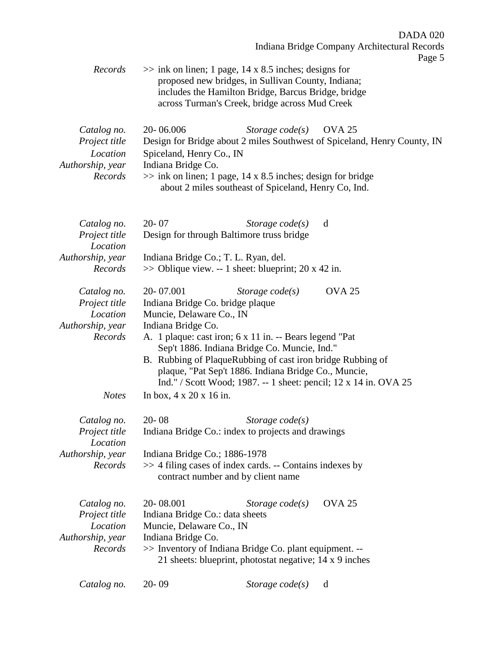|                                                                                         | Indiana Bridge Company Architectural Records                                                                                                                                                                                                                                                                                                                                                                                               |
|-----------------------------------------------------------------------------------------|--------------------------------------------------------------------------------------------------------------------------------------------------------------------------------------------------------------------------------------------------------------------------------------------------------------------------------------------------------------------------------------------------------------------------------------------|
| Records                                                                                 | Page 5<br>$\gg$ ink on linen; 1 page, 14 x 8.5 inches; designs for<br>proposed new bridges, in Sullivan County, Indiana;<br>includes the Hamilton Bridge, Barcus Bridge, bridge<br>across Turman's Creek, bridge across Mud Creek                                                                                                                                                                                                          |
| Catalog no.<br>Project title<br>Location<br>Authorship, year<br>Records                 | 20-06.006<br>Storage $code(s)$<br><b>OVA 25</b><br>Design for Bridge about 2 miles Southwest of Spiceland, Henry County, IN<br>Spiceland, Henry Co., IN<br>Indiana Bridge Co.<br>$\gg$ ink on linen; 1 page, 14 x 8.5 inches; design for bridge<br>about 2 miles southeast of Spiceland, Henry Co, Ind.                                                                                                                                    |
| Catalog no.<br>Project title<br>Location<br>Authorship, year<br>Records                 | $20 - 07$<br>Storage $code(s)$<br>d<br>Design for through Baltimore truss bridge<br>Indiana Bridge Co.; T. L. Ryan, del.<br>$\gg$ Oblique view. -- 1 sheet: blueprint; 20 x 42 in.                                                                                                                                                                                                                                                         |
| Catalog no.<br>Project title<br>Location<br>Authorship, year<br>Records                 | <b>OVA 25</b><br>20-07.001<br>Storage $code(s)$<br>Indiana Bridge Co. bridge plaque<br>Muncie, Delaware Co., IN<br>Indiana Bridge Co.<br>A. 1 plaque: cast iron; 6 x 11 in. -- Bears legend "Pat<br>Sep't 1886. Indiana Bridge Co. Muncie, Ind."<br>B. Rubbing of PlaqueRubbing of cast iron bridge Rubbing of<br>plaque, "Pat Sep't 1886. Indiana Bridge Co., Muncie,<br>Ind." / Scott Wood; 1987. -- 1 sheet: pencil; 12 x 14 in. OVA 25 |
| <b>Notes</b><br>Catalog no.<br>Project title<br>Location<br>Authorship, year<br>Records | In box, $4 \times 20 \times 16$ in.<br>$20 - 08$<br>Storage $code(s)$<br>Indiana Bridge Co.: index to projects and drawings<br>Indiana Bridge Co.; 1886-1978<br>$\gg$ 4 filing cases of index cards. -- Contains indexes by<br>contract number and by client name                                                                                                                                                                          |
| Catalog no.<br>Project title<br>Location<br>Authorship, year<br>Records                 | 20-08.001<br><b>OVA 25</b><br>Storage $code(s)$<br>Indiana Bridge Co.: data sheets<br>Muncie, Delaware Co., IN<br>Indiana Bridge Co.<br>>> Inventory of Indiana Bridge Co. plant equipment. --<br>21 sheets: blueprint, photostat negative; 14 x 9 inches                                                                                                                                                                                  |

DADA 020

| Storage $code(s)$ d | Catalog no. | $20 - 09$ |  |  |
|---------------------|-------------|-----------|--|--|
|---------------------|-------------|-----------|--|--|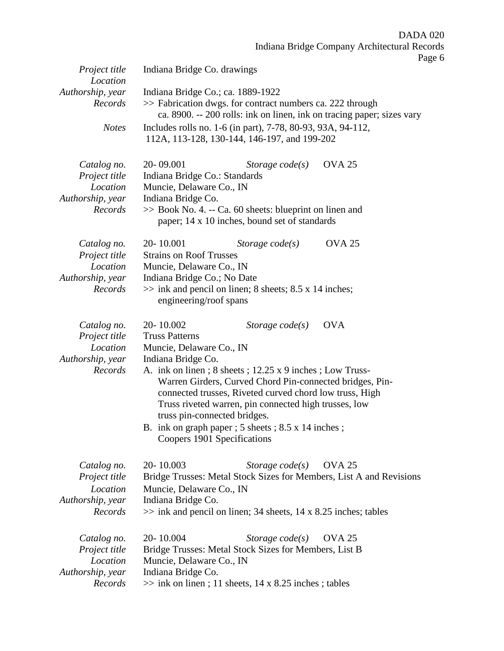Page 6

| Project title                                                           | Indiana Bridge Co. drawings                                                                                                                                                                                                                                                                                                                                                                                                                                                               |  |  |
|-------------------------------------------------------------------------|-------------------------------------------------------------------------------------------------------------------------------------------------------------------------------------------------------------------------------------------------------------------------------------------------------------------------------------------------------------------------------------------------------------------------------------------------------------------------------------------|--|--|
| Location<br>Authorship, year<br>Records                                 | Indiana Bridge Co.; ca. 1889-1922<br>>> Fabrication dwgs. for contract numbers ca. 222 through<br>ca. 8900. -- 200 rolls: ink on linen, ink on tracing paper; sizes vary                                                                                                                                                                                                                                                                                                                  |  |  |
| <b>Notes</b>                                                            | Includes rolls no. 1-6 (in part), 7-78, 80-93, 93A, 94-112,<br>112A, 113-128, 130-144, 146-197, and 199-202                                                                                                                                                                                                                                                                                                                                                                               |  |  |
| Catalog no.<br>Project title<br>Location<br>Authorship, year<br>Records | 20-09.001<br><b>OVA 25</b><br>Storage $code(s)$<br>Indiana Bridge Co.: Standards<br>Muncie, Delaware Co., IN<br>Indiana Bridge Co.<br>$\gg$ Book No. 4. -- Ca. 60 sheets: blueprint on linen and<br>paper; 14 x 10 inches, bound set of standards                                                                                                                                                                                                                                         |  |  |
| Catalog no.<br>Project title<br>Location<br>Authorship, year<br>Records | 20-10.001<br><b>OVA 25</b><br>Storage $code(s)$<br><b>Strains on Roof Trusses</b><br>Muncie, Delaware Co., IN<br>Indiana Bridge Co.; No Date<br>$\gg$ ink and pencil on linen; 8 sheets; 8.5 x 14 inches;<br>engineering/roof spans                                                                                                                                                                                                                                                       |  |  |
| Catalog no.<br>Project title<br>Location<br>Authorship, year<br>Records | 20-10.002<br><b>OVA</b><br>Storage $code(s)$<br><b>Truss Patterns</b><br>Muncie, Delaware Co., IN<br>Indiana Bridge Co.<br>A. ink on linen; 8 sheets; 12.25 x 9 inches; Low Truss-<br>Warren Girders, Curved Chord Pin-connected bridges, Pin-<br>connected trusses, Riveted curved chord low truss, High<br>Truss riveted warren, pin connected high trusses, low<br>truss pin-connected bridges.<br>B. ink on graph paper ; 5 sheets ; 8.5 x 14 inches ;<br>Coopers 1901 Specifications |  |  |
| Catalog no.<br>Project title<br>Location<br>Authorship, year<br>Records | 20-10.003<br><b>OVA 25</b><br>Storage $code(s)$<br>Bridge Trusses: Metal Stock Sizes for Members, List A and Revisions<br>Muncie, Delaware Co., IN<br>Indiana Bridge Co.<br>$\gg$ ink and pencil on linen; 34 sheets, 14 x 8.25 inches; tables                                                                                                                                                                                                                                            |  |  |
| Catalog no.<br>Project title<br>Location<br>Authorship, year<br>Records | 20-10.004<br>Storage $code(s)$<br><b>OVA 25</b><br>Bridge Trusses: Metal Stock Sizes for Members, List B<br>Muncie, Delaware Co., IN<br>Indiana Bridge Co.<br>$\gg$ ink on linen; 11 sheets, 14 x 8.25 inches; tables                                                                                                                                                                                                                                                                     |  |  |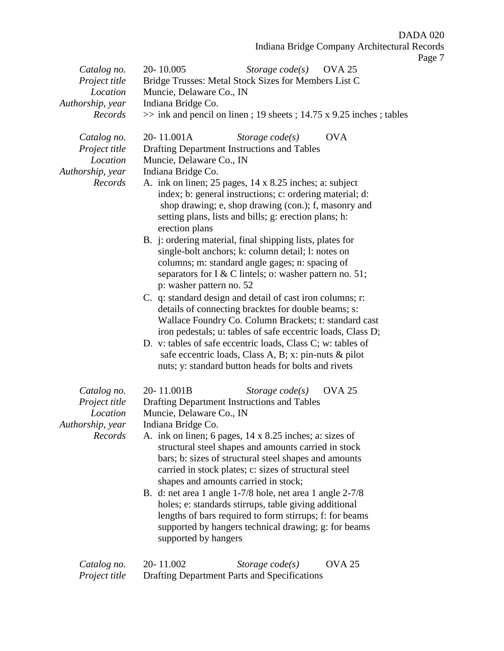DADA 020

| Catalog no.<br>Project title<br>Location<br>Authorship, year<br>Records | 20-10.005<br>Storage $code(s)$<br><b>OVA 25</b><br>Bridge Trusses: Metal Stock Sizes for Members List C<br>Muncie, Delaware Co., IN<br>Indiana Bridge Co.<br>$\gg$ ink and pencil on linen; 19 sheets; 14.75 x 9.25 inches; tables                                                                      |  |  |
|-------------------------------------------------------------------------|---------------------------------------------------------------------------------------------------------------------------------------------------------------------------------------------------------------------------------------------------------------------------------------------------------|--|--|
| Catalog no.<br>Project title<br>Location<br>Authorship, year            | 20-11.001A<br>Storage $code(s)$<br><b>OVA</b><br>Drafting Department Instructions and Tables<br>Muncie, Delaware Co., IN<br>Indiana Bridge Co.                                                                                                                                                          |  |  |
| Records                                                                 | A. ink on linen; 25 pages, 14 x 8.25 inches; a: subject<br>index; b: general instructions; c: ordering material; d:<br>shop drawing; e, shop drawing (con.); f, masonry and<br>setting plans, lists and bills; g: erection plans; h:<br>erection plans                                                  |  |  |
|                                                                         | B. j: ordering material, final shipping lists, plates for<br>single-bolt anchors; k: column detail; l: notes on<br>columns; m: standard angle gages; n: spacing of<br>separators for I & C lintels; o: washer pattern no. 51;<br>p: washer pattern no. 52                                               |  |  |
|                                                                         | C. q: standard design and detail of cast iron columns; r:<br>details of connecting bracktes for double beams; s:<br>Wallace Foundry Co. Column Brackets; t: standard cast<br>iron pedestals; u: tables of safe eccentric loads, Class D;<br>D. v: tables of safe eccentric loads, Class C; w: tables of |  |  |
|                                                                         | safe eccentric loads, Class A, B; x: pin-nuts & pilot<br>nuts; y: standard button heads for bolts and rivets                                                                                                                                                                                            |  |  |
| Catalog no.<br>Project title<br>Location<br>Authorship, year            | 20-11.001B<br>Storage $code(s)$<br><b>OVA 25</b><br>Drafting Department Instructions and Tables<br>Muncie, Delaware Co., IN<br>Indiana Bridge Co.                                                                                                                                                       |  |  |
| Records                                                                 | A. ink on linen; 6 pages, 14 x 8.25 inches; a: sizes of<br>structural steel shapes and amounts carried in stock<br>bars; b: sizes of structural steel shapes and amounts<br>carried in stock plates; c: sizes of structural steel<br>shapes and amounts carried in stock;                               |  |  |
|                                                                         | B. d: net area 1 angle 1-7/8 hole, net area 1 angle 2-7/8<br>holes; e: standards stirrups, table giving additional<br>lengths of bars required to form stirrups; f: for beams<br>supported by hangers technical drawing; g: for beams<br>supported by hangers                                           |  |  |
| Catalog no.<br>Project title                                            | 20-11.002<br>Storage $code(s)$<br><b>OVA 25</b><br>Drafting Department Parts and Specifications                                                                                                                                                                                                         |  |  |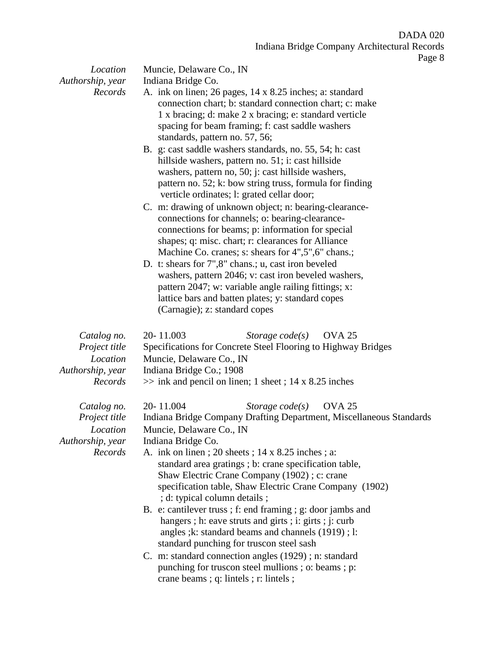| Location                                                                                                       | Muncie, Delaware Co., IN                                                                                |  |  |  |  |
|----------------------------------------------------------------------------------------------------------------|---------------------------------------------------------------------------------------------------------|--|--|--|--|
| Authorship, year                                                                                               | Indiana Bridge Co.                                                                                      |  |  |  |  |
| Records                                                                                                        | A. ink on linen; 26 pages, 14 x 8.25 inches; a: standard                                                |  |  |  |  |
| connection chart; b: standard connection chart; c: make                                                        |                                                                                                         |  |  |  |  |
|                                                                                                                | 1 x bracing; d: make 2 x bracing; e: standard verticle                                                  |  |  |  |  |
|                                                                                                                | spacing for beam framing; f: cast saddle washers                                                        |  |  |  |  |
|                                                                                                                | standards, pattern no. 57, 56;                                                                          |  |  |  |  |
|                                                                                                                | B. g: cast saddle washers standards, no. 55, 54; h: cast                                                |  |  |  |  |
|                                                                                                                | hillside washers, pattern no. 51; i: cast hillside                                                      |  |  |  |  |
| washers, pattern no, 50; j: cast hillside washers,<br>pattern no. 52; k: bow string truss, formula for finding |                                                                                                         |  |  |  |  |
|                                                                                                                | verticle ordinates; l: grated cellar door;                                                              |  |  |  |  |
|                                                                                                                | C. m: drawing of unknown object; n: bearing-clearance-                                                  |  |  |  |  |
| connections for channels; o: bearing-clearance-                                                                |                                                                                                         |  |  |  |  |
| connections for beams; p: information for special                                                              |                                                                                                         |  |  |  |  |
|                                                                                                                | shapes; q: misc. chart; r: clearances for Alliance                                                      |  |  |  |  |
|                                                                                                                | Machine Co. cranes; s: shears for 4",5",6" chans.;                                                      |  |  |  |  |
|                                                                                                                | D. t: shears for 7",8" chans.; u, cast iron beveled                                                     |  |  |  |  |
|                                                                                                                | washers, pattern 2046; v: cast iron beveled washers,                                                    |  |  |  |  |
|                                                                                                                | pattern 2047; w: variable angle railing fittings; x:                                                    |  |  |  |  |
|                                                                                                                | lattice bars and batten plates; y: standard copes                                                       |  |  |  |  |
|                                                                                                                | (Carnagie); z: standard copes                                                                           |  |  |  |  |
| Catalog no.                                                                                                    | 20-11.003<br><b>OVA 25</b><br>Storage $code(s)$                                                         |  |  |  |  |
| Project title                                                                                                  | Specifications for Concrete Steel Flooring to Highway Bridges                                           |  |  |  |  |
| Location                                                                                                       | Muncie, Delaware Co., IN                                                                                |  |  |  |  |
| Authorship, year                                                                                               | Indiana Bridge Co.; 1908                                                                                |  |  |  |  |
| Records                                                                                                        | $\gg$ ink and pencil on linen; 1 sheet; 14 x 8.25 inches                                                |  |  |  |  |
|                                                                                                                |                                                                                                         |  |  |  |  |
| Catalog no.                                                                                                    | 20-11.004<br>Storage $code(s)$<br><b>OVA 25</b>                                                         |  |  |  |  |
| Project title                                                                                                  | Indiana Bridge Company Drafting Department, Miscellaneous Standards                                     |  |  |  |  |
| Location                                                                                                       | Muncie, Delaware Co., IN                                                                                |  |  |  |  |
| Authorship, year                                                                                               | Indiana Bridge Co.                                                                                      |  |  |  |  |
| Records                                                                                                        | A. ink on linen; 20 sheets; $14 \times 8.25$ inches; a:                                                 |  |  |  |  |
|                                                                                                                | standard area gratings; b: crane specification table,                                                   |  |  |  |  |
|                                                                                                                | Shaw Electric Crane Company (1902); c: crane<br>specification table, Shaw Electric Crane Company (1902) |  |  |  |  |
|                                                                                                                | ; d: typical column details ;                                                                           |  |  |  |  |
|                                                                                                                | B. e: cantilever truss ; f: end framing ; g: door jambs and                                             |  |  |  |  |
|                                                                                                                | hangers; h: eave struts and girts; i: girts; j: curb                                                    |  |  |  |  |
|                                                                                                                | angles ; k: standard beams and channels (1919) ; l:                                                     |  |  |  |  |
|                                                                                                                | standard punching for truscon steel sash                                                                |  |  |  |  |
|                                                                                                                | C. m: standard connection angles (1929); n: standard                                                    |  |  |  |  |
|                                                                                                                | punching for truscon steel mullions; o: beams; p:                                                       |  |  |  |  |
|                                                                                                                | crane beams ; q: lintels ; r: lintels ;                                                                 |  |  |  |  |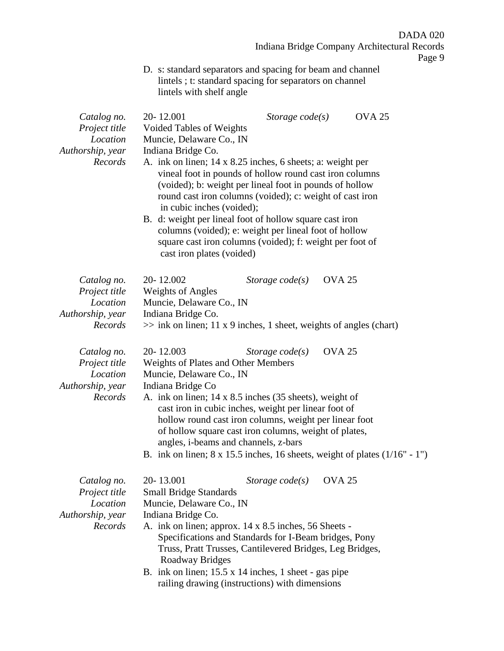DADA 020

Indiana Bridge Company Architectural Records

- Page 9
- D. s: standard separators and spacing for beam and channel lintels ; t: standard spacing for separators on channel lintels with shelf angle

| Catalog no.                                                                      | 20-12.001                                                                                                      | Storage $code(s)$                  | <b>OVA 25</b> |  |  |
|----------------------------------------------------------------------------------|----------------------------------------------------------------------------------------------------------------|------------------------------------|---------------|--|--|
| Project title                                                                    | Voided Tables of Weights                                                                                       |                                    |               |  |  |
| Location                                                                         | Muncie, Delaware Co., IN                                                                                       |                                    |               |  |  |
| Authorship, year                                                                 | Indiana Bridge Co.                                                                                             |                                    |               |  |  |
| Records                                                                          | A. ink on linen; 14 x 8.25 inches, 6 sheets; a: weight per                                                     |                                    |               |  |  |
|                                                                                  | vineal foot in pounds of hollow round cast iron columns                                                        |                                    |               |  |  |
|                                                                                  | (voided); b: weight per lineal foot in pounds of hollow                                                        |                                    |               |  |  |
|                                                                                  | round cast iron columns (voided); c: weight of cast iron                                                       |                                    |               |  |  |
|                                                                                  | in cubic inches (voided);                                                                                      |                                    |               |  |  |
|                                                                                  | B. d: weight per lineal foot of hollow square cast iron                                                        |                                    |               |  |  |
|                                                                                  | columns (voided); e: weight per lineal foot of hollow                                                          |                                    |               |  |  |
|                                                                                  | square cast iron columns (voided); f: weight per foot of                                                       |                                    |               |  |  |
|                                                                                  | cast iron plates (voided)                                                                                      |                                    |               |  |  |
|                                                                                  |                                                                                                                |                                    |               |  |  |
| Catalog no.                                                                      | 20-12.002                                                                                                      | <b>OVA 25</b><br>Storage $code(s)$ |               |  |  |
| Project title                                                                    | <b>Weights of Angles</b>                                                                                       |                                    |               |  |  |
| Location                                                                         | Muncie, Delaware Co., IN                                                                                       |                                    |               |  |  |
| Authorship, year                                                                 | Indiana Bridge Co.                                                                                             |                                    |               |  |  |
| $\gg$ ink on linen; 11 x 9 inches, 1 sheet, weights of angles (chart)<br>Records |                                                                                                                |                                    |               |  |  |
|                                                                                  |                                                                                                                |                                    |               |  |  |
| Catalog no.                                                                      | 20-12.003                                                                                                      | <b>OVA 25</b><br>Storage $code(s)$ |               |  |  |
| Project title                                                                    | Weights of Plates and Other Members                                                                            |                                    |               |  |  |
| Location                                                                         | Muncie, Delaware Co., IN                                                                                       |                                    |               |  |  |
| Authorship, year                                                                 | Indiana Bridge Co                                                                                              |                                    |               |  |  |
| Records                                                                          | A. ink on linen; 14 x 8.5 inches (35 sheets), weight of                                                        |                                    |               |  |  |
|                                                                                  | cast iron in cubic inches, weight per linear foot of<br>hollow round cast iron columns, weight per linear foot |                                    |               |  |  |
|                                                                                  |                                                                                                                |                                    |               |  |  |
|                                                                                  | of hollow square cast iron columns, weight of plates,                                                          |                                    |               |  |  |
|                                                                                  | angles, i-beams and channels, z-bars                                                                           |                                    |               |  |  |
|                                                                                  | B. ink on linen; $8 \times 15.5$ inches, 16 sheets, weight of plates $(1/16" - 1")$                            |                                    |               |  |  |
| Catalog no.                                                                      | 20-13.001                                                                                                      | Storage $code(s)$ OVA 25           |               |  |  |
| Project title                                                                    | <b>Small Bridge Standards</b>                                                                                  |                                    |               |  |  |
| Location                                                                         | Muncie, Delaware Co., IN                                                                                       |                                    |               |  |  |
| Authorship, year                                                                 | Indiana Bridge Co.                                                                                             |                                    |               |  |  |
| Records                                                                          | A. ink on linen; approx. 14 x 8.5 inches, 56 Sheets -                                                          |                                    |               |  |  |
|                                                                                  | Specifications and Standards for I-Beam bridges, Pony                                                          |                                    |               |  |  |
|                                                                                  | Truss, Pratt Trusses, Cantilevered Bridges, Leg Bridges,                                                       |                                    |               |  |  |
|                                                                                  | Roadway Bridges                                                                                                |                                    |               |  |  |
|                                                                                  | B. ink on linen; $15.5 \times 14$ inches, 1 sheet - gas pipe                                                   |                                    |               |  |  |
|                                                                                  | railing drawing (instructions) with dimensions                                                                 |                                    |               |  |  |
|                                                                                  |                                                                                                                |                                    |               |  |  |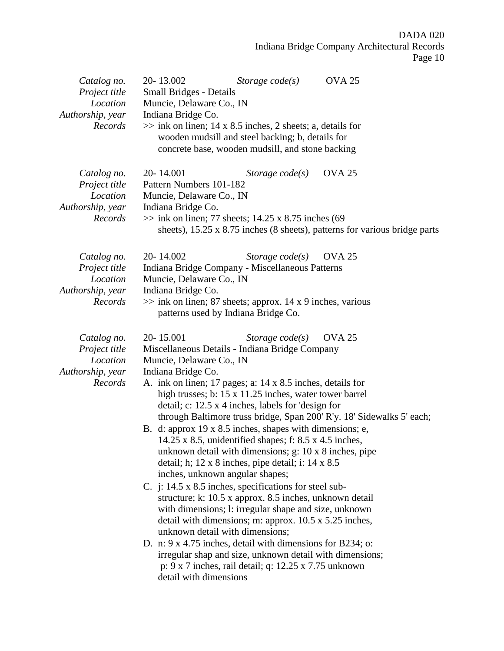| Catalog no.<br>Project title<br>Location<br>Authorship, year<br>Records | 20-13.002<br>Storage $code(s)$<br><b>OVA 25</b><br><b>Small Bridges - Details</b><br>Muncie, Delaware Co., IN<br>Indiana Bridge Co.<br>$\gg$ ink on linen; 14 x 8.5 inches, 2 sheets; a, details for<br>wooden mudsill and steel backing; b, details for<br>concrete base, wooden mudsill, and stone backing                                                                                                                                                                                                                                                                                                                                                                                                                                                                                                                                                                                                                                                                                                                                                                                                                                                                                                          |
|-------------------------------------------------------------------------|-----------------------------------------------------------------------------------------------------------------------------------------------------------------------------------------------------------------------------------------------------------------------------------------------------------------------------------------------------------------------------------------------------------------------------------------------------------------------------------------------------------------------------------------------------------------------------------------------------------------------------------------------------------------------------------------------------------------------------------------------------------------------------------------------------------------------------------------------------------------------------------------------------------------------------------------------------------------------------------------------------------------------------------------------------------------------------------------------------------------------------------------------------------------------------------------------------------------------|
| Catalog no.<br>Project title<br>Location<br>Authorship, year<br>Records | <b>OVA 25</b><br>20-14.001<br>Storage $code(s)$<br>Pattern Numbers 101-182<br>Muncie, Delaware Co., IN<br>Indiana Bridge Co.<br>$\gg$ ink on linen; 77 sheets; 14.25 x 8.75 inches (69)<br>sheets), $15.25 \times 8.75$ inches (8 sheets), patterns for various bridge parts                                                                                                                                                                                                                                                                                                                                                                                                                                                                                                                                                                                                                                                                                                                                                                                                                                                                                                                                          |
| Catalog no.<br>Project title<br>Location<br>Authorship, year<br>Records | 20-14.002<br>Storage $code(s)$<br><b>OVA 25</b><br>Indiana Bridge Company - Miscellaneous Patterns<br>Muncie, Delaware Co., IN<br>Indiana Bridge Co.<br>$\gg$ ink on linen; 87 sheets; approx. 14 x 9 inches, various<br>patterns used by Indiana Bridge Co.                                                                                                                                                                                                                                                                                                                                                                                                                                                                                                                                                                                                                                                                                                                                                                                                                                                                                                                                                          |
| Catalog no.<br>Project title<br>Location<br>Authorship, year<br>Records | Storage $code(s)$<br><b>OVA 25</b><br>20-15.001<br>Miscellaneous Details - Indiana Bridge Company<br>Muncie, Delaware Co., IN<br>Indiana Bridge Co.<br>A. ink on linen; 17 pages; a: 14 x 8.5 inches, details for<br>high trusses; b: 15 x 11.25 inches, water tower barrel<br>detail; c: 12.5 x 4 inches, labels for 'design for<br>through Baltimore truss bridge, Span 200' R'y. 18' Sidewalks 5' each;<br>B. d: approx 19 x 8.5 inches, shapes with dimensions; e,<br>14.25 x 8.5, unidentified shapes; f: 8.5 x 4.5 inches,<br>unknown detail with dimensions; $g: 10 \times 8$ inches, pipe<br>detail; h; $12 \times 8$ inches, pipe detail; i: $14 \times 8.5$<br>inches, unknown angular shapes;<br>C. j: $14.5 \times 8.5$ inches, specifications for steel sub-<br>structure; k: 10.5 x approx. 8.5 inches, unknown detail<br>with dimensions; 1: irregular shape and size, unknown<br>detail with dimensions; m: approx. $10.5 \times 5.25$ inches,<br>unknown detail with dimensions;<br>D. n: $9 \times 4.75$ inches, detail with dimensions for B234; o:<br>irregular shap and size, unknown detail with dimensions;<br>p: 9 x 7 inches, rail detail; q: 12.25 x 7.75 unknown<br>detail with dimensions |